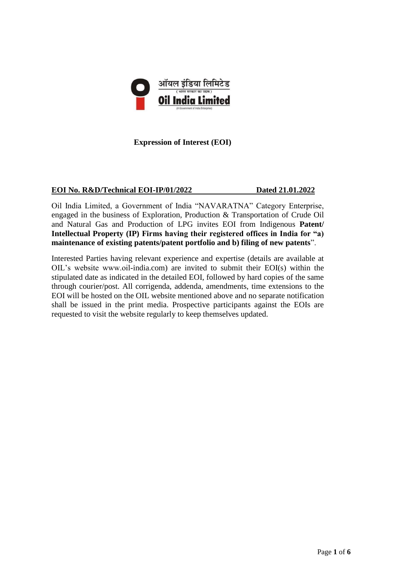

**Expression of Interest (EOI)**

#### **EOI No. R&D/Technical EOI-IP/01/2022 Dated 21.01.2022**

Oil India Limited, a Government of India "NAVARATNA" Category Enterprise, engaged in the business of Exploration, Production & Transportation of Crude Oil and Natural Gas and Production of LPG invites EOI from Indigenous **Patent/ Intellectual Property (IP) Firms having their registered offices in India for "a) maintenance of existing patents/patent portfolio and b) filing of new patents**".

Interested Parties having relevant experience and expertise (details are available at OIL's website www.oil-india.com) are invited to submit their EOI(s) within the stipulated date as indicated in the detailed EOI, followed by hard copies of the same through courier/post. All corrigenda, addenda, amendments, time extensions to the EOI will be hosted on the OIL website mentioned above and no separate notification shall be issued in the print media. Prospective participants against the EOIs are requested to visit the website regularly to keep themselves updated.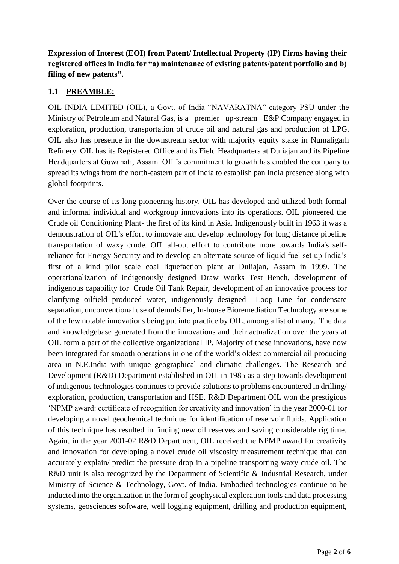**Expression of Interest (EOI) from Patent/ Intellectual Property (IP) Firms having their registered offices in India for "a) maintenance of existing patents/patent portfolio and b) filing of new patents".**

## **1.1 PREAMBLE:**

OIL INDIA LIMITED (OIL), a Govt. of India "NAVARATNA" category PSU under the Ministry of Petroleum and Natural Gas, is a premier up-stream E&P Company engaged in exploration, production, transportation of crude oil and natural gas and production of LPG. OIL also has presence in the downstream sector with majority equity stake in Numaligarh Refinery. OIL has its Registered Office and its Field Headquarters at Duliajan and its Pipeline Headquarters at Guwahati, Assam. OIL's commitment to growth has enabled the company to spread its wings from the north-eastern part of India to establish pan India presence along with global footprints.

Over the course of its long pioneering history, OIL has developed and utilized both formal and informal individual and workgroup innovations into its operations. OIL pioneered the Crude oil Conditioning Plant- the first of its kind in Asia. Indigenously built in 1963 it was a demonstration of OIL's effort to innovate and develop technology for long distance pipeline transportation of waxy crude. OIL all-out effort to contribute more towards India's selfreliance for Energy Security and to develop an alternate source of liquid fuel set up India's first of a kind pilot scale coal liquefaction plant at Duliajan, Assam in 1999. The operationalization of indigenously designed Draw Works Test Bench, development of indigenous capability for Crude Oil Tank Repair, development of an innovative process for clarifying oilfield produced water, indigenously designed Loop Line for condensate separation, unconventional use of demulsifier, In-house Bioremediation Technology are some of the few notable innovations being put into practice by OIL, among a list of many. The data and knowledgebase generated from the innovations and their actualization over the years at OIL form a part of the collective organizational IP. Majority of these innovations, have now been integrated for smooth operations in one of the world's oldest commercial oil producing area in N.E.India with unique geographical and climatic challenges. The Research and Development (R&D) Department established in OIL in 1985 as a step towards development of indigenous technologies continues to provide solutions to problems encountered in drilling/ exploration, production, transportation and HSE. R&D Department OIL won the prestigious 'NPMP award: certificate of recognition for creativity and innovation' in the year 2000-01 for developing a novel geochemical technique for identification of reservoir fluids. Application of this technique has resulted in finding new oil reserves and saving considerable rig time. Again, in the year 2001-02 R&D Department, OIL received the NPMP award for creativity and innovation for developing a novel crude oil viscosity measurement technique that can accurately explain/ predict the pressure drop in a pipeline transporting waxy crude oil. The R&D unit is also recognized by the Department of Scientific & Industrial Research, under Ministry of Science & Technology, Govt. of India. Embodied technologies continue to be inducted into the organization in the form of geophysical exploration tools and data processing systems, geosciences software, well logging equipment, drilling and production equipment,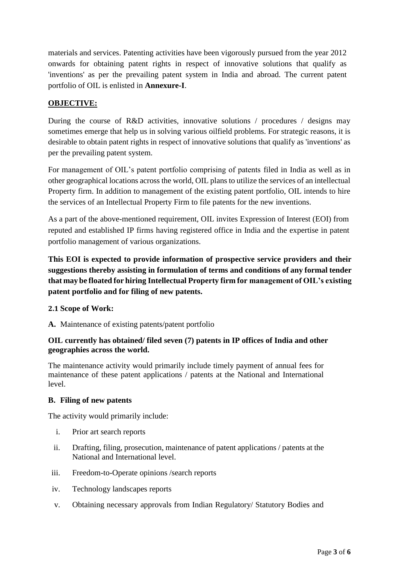materials and services. Patenting activities have been vigorously pursued from the year 2012 onwards for obtaining patent rights in respect of innovative solutions that qualify as 'inventions' as per the prevailing patent system in India and abroad. The current patent portfolio of OIL is enlisted in **Annexure-I**.

### **OBJECTIVE:**

During the course of R&D activities, innovative solutions / procedures / designs may sometimes emerge that help us in solving various oilfield problems. For strategic reasons, it is desirable to obtain patent rights in respect of innovative solutions that qualify as 'inventions' as per the prevailing patent system.

For management of OIL's patent portfolio comprising of patents filed in India as well as in other geographical locations across the world, OIL plans to utilize the services of an intellectual Property firm. In addition to management of the existing patent portfolio, OIL intends to hire the services of an Intellectual Property Firm to file patents for the new inventions.

As a part of the above-mentioned requirement, OIL invites Expression of Interest (EOI) from reputed and established IP firms having registered office in India and the expertise in patent portfolio management of various organizations.

**This EOI is expected to provide information of prospective service providers and their suggestions thereby assisting in formulation of terms and conditions of any formal tender that may be floated for hiring Intellectual Property firm for management of OIL's existing patent portfolio and for filing of new patents.**

#### **2.1 Scope of Work:**

**A.** Maintenance of existing patents/patent portfolio

#### **OIL currently has obtained/ filed seven (7) patents in IP offices of India and other geographies across the world.**

The maintenance activity would primarily include timely payment of annual fees for maintenance of these patent applications / patents at the National and International level.

#### **B. Filing of new patents**

The activity would primarily include:

- i. Prior art search reports
- ii. Drafting, filing, prosecution, maintenance of patent applications / patents at the National and International level.
- iii. Freedom-to-Operate opinions /search reports
- iv. Technology landscapes reports
- v. Obtaining necessary approvals from Indian Regulatory/ Statutory Bodies and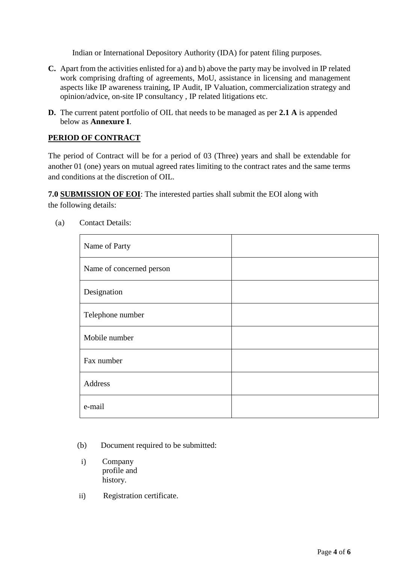Indian or International Depository Authority (IDA) for patent filing purposes.

- **C.** Apart from the activities enlisted for a) and b) above the party may be involved in IP related work comprising drafting of agreements, MoU, assistance in licensing and management aspects like IP awareness training, IP Audit, IP Valuation, commercialization strategy and opinion/advice, on-site IP consultancy , IP related litigations etc.
- **D.** The current patent portfolio of OIL that needs to be managed as per **2.1 A** is appended below as **Annexure I**.

#### **PERIOD OF CONTRACT**

The period of Contract will be for a period of 03 (Three) years and shall be extendable for another 01 (one) years on mutual agreed rates limiting to the contract rates and the same terms and conditions at the discretion of OIL.

**7.0 SUBMISSION OF EOI**: The interested parties shall submit the EOI along with

the following details:

| Name of Party            |  |
|--------------------------|--|
| Name of concerned person |  |
| Designation              |  |
| Telephone number         |  |
| Mobile number            |  |
| Fax number               |  |
| Address                  |  |
| e-mail                   |  |

(a) Contact Details:

- (b) Document required to be submitted:
- i) Company profile and history.
- ii) Registration certificate.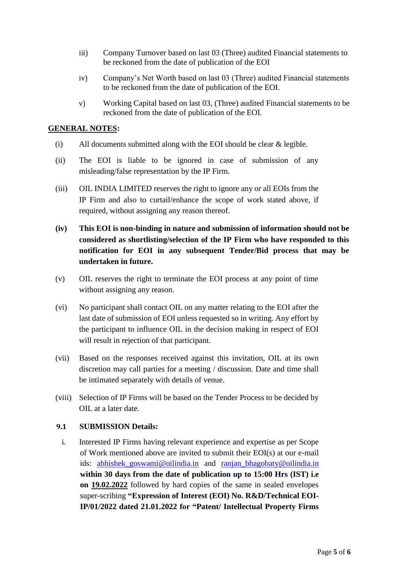- iii) Company Turnover based on last 03 (Three) audited Financial statements to be reckoned from the date of publication of the EOI
- iv) Company's Net Worth based on last 03 (Three) audited Financial statements to be reckoned from the date of publication of the EOI.
- v) Working Capital based on last 03, (Three) audited Financial statements to be reckoned from the date of publication of the EOI.

#### **GENERAL NOTES:**

- (i) All documents submitted along with the EOI should be clear & legible.
- (ii) The EOI is liable to be ignored in case of submission of any misleading/false representation by the IP Firm.
- (iii) OIL INDIA LIMITED reserves the right to ignore any or all EOIs from the IP Firm and also to curtail/enhance the scope of work stated above, if required, without assigning any reason thereof.
- **(iv) This EOI is non-binding in nature and submission of information should not be considered as shortlisting/selection of the IP Firm who have responded to this notification for EOI in any subsequent Tender/Bid process that may be undertaken in future.**
- (v) OIL reserves the right to terminate the EOI process at any point of time without assigning any reason.
- (vi) No participant shall contact OIL on any matter relating to the EOI after the last date of submission of EOI unless requested so in writing. Any effort by the participant to influence OIL in the decision making in respect of EOI will result in rejection of that participant.
- (vii) Based on the responses received against this invitation, OIL at its own discretion may call parties for a meeting / discussion. Date and time shall be intimated separately with details of venue.
- (viii) Selection of IP Firms will be based on the Tender Process to be decided by OIL at a later date.

#### **9.1 SUBMISSION Details:**

i. Interested IP Firms having relevant experience and expertise as per Scope of Work mentioned above are invited to submit their EOI(s) at our e-mail ids: [abhishek\\_goswami@oilindia.in](mailto:abhishek_goswami@oilindia.in) and [ranjan\\_bhagobaty@oilindia.in](mailto:ranjan_bhagobaty@oilindia.in) **within 30 days from the date of publication up to 15:00 Hrs (IST) i.e on 19.02.2022** followed by hard copies of the same in sealed envelopes super-scribing **"Expression of Interest (EOI) No. R&D/Technical EOI-IP/01/2022 dated 21.01.2022 for "Patent/ Intellectual Property Firms**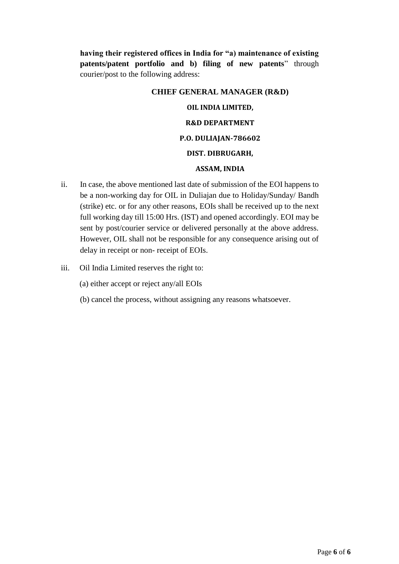**having their registered offices in India for "a) maintenance of existing patents/patent portfolio and b) filing of new patents**" through courier/post to the following address:

# **CHIEF GENERAL MANAGER (R&D)**

## **OIL INDIA LIMITED,**

## **R&D DEPARTMENT**

#### **P.O. DULIAJAN-786602**

#### **DIST. DIBRUGARH,**

#### **ASSAM, INDIA**

- ii. In case, the above mentioned last date of submission of the EOI happens to be a non-working day for OIL in Duliajan due to Holiday/Sunday/ Bandh (strike) etc. or for any other reasons, EOIs shall be received up to the next full working day till 15:00 Hrs. (IST) and opened accordingly. EOI may be sent by post/courier service or delivered personally at the above address. However, OIL shall not be responsible for any consequence arising out of delay in receipt or non- receipt of EOIs.
- iii. Oil India Limited reserves the right to:
	- (a) either accept or reject any/all EOIs
	- (b) cancel the process, without assigning any reasons whatsoever.